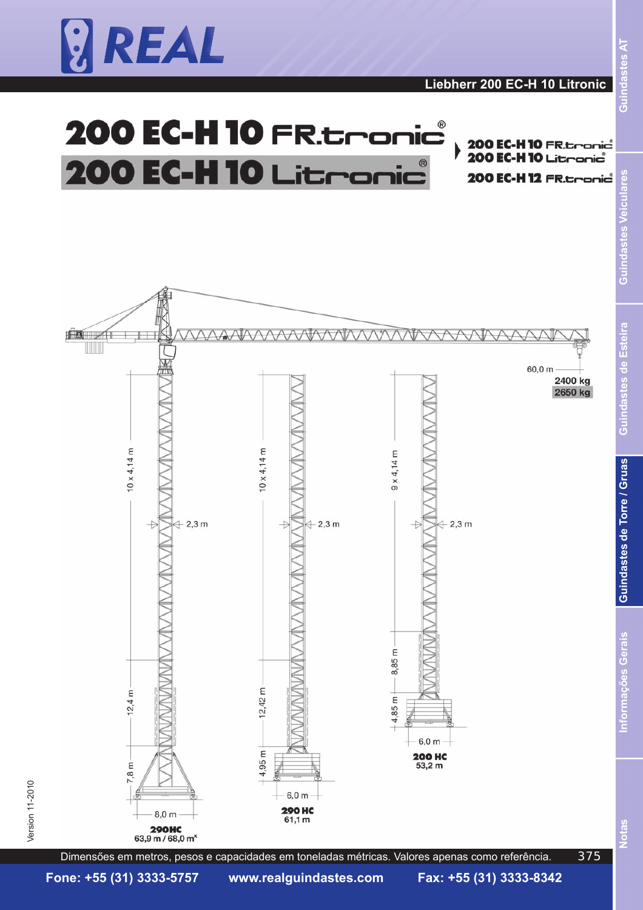

 $\mathbb{R}$ 

 $10 \times 4,14 \text{ m}$ 

 $\rightarrow$ 

 $+2,3m$ 



AAIAAAAAAIAAAI

 $10 \times 4,14 \text{ m}$ 

E

 $12,42$ 

4,95 m

 $\overline{+}$ 

 $+2,3m$ 



60,0 m





 $R$ sel

indast

ت<br>ق

es Veicu

<u>pa</u> ā

Dimensőes em metros, pesos e capacidades em toneladas métricas. Valores apenas como referência.

 $6.0<sub>m</sub>$ **200 HC**<br> $53.2 m$ 

 $9 \times 4,14 \text{ m}$ 

8,85 m

 $4,85 \text{ m}$ 

 $\ddot{+}$ 

 $+2,3m$ 

 $12.4 m$ 

7,8 m

 $8.0<sub>m</sub>$ 

**290HC** 63,9 m / 68,0 m<sup>x</sup>

Version 11-2010  $\,$ 

Version 11-2010

**Fone: +55 (31) 3333-5757 www.realguindastes.com Fax: +55 (31) 3333-8342**

 $6.0<sub>m</sub>$ **290 HC** 

 $61,1 m$ 

375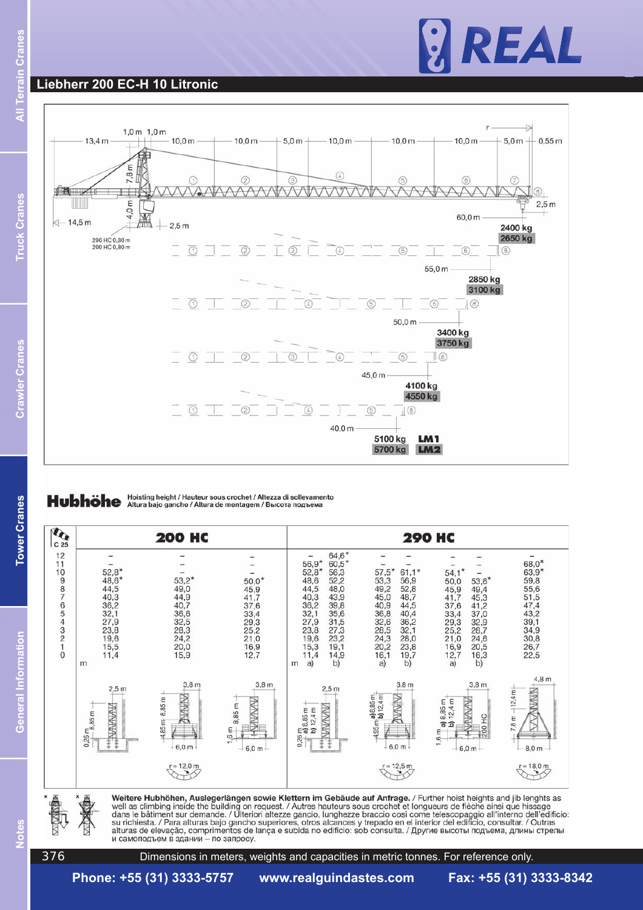# REAL

### **Liebherr 200 EC-H 10 Litronic**



Hubhöhe Hoisting height / Hauteur sous crochet / Altezza di sollevamento





376

Dimensions in meters, weights and capacities in metric tonnes. For reference only.

**Tower Cranes**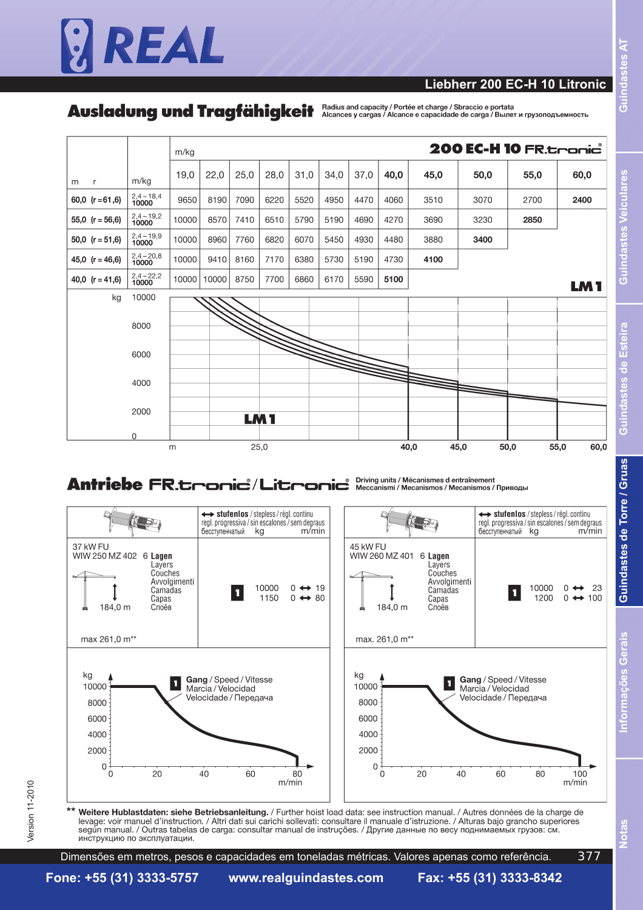# REAL

#### **Liebherr 200 EC-H 10 Litronic**

Ausladung und Tragfähigkeit Addius and capacity / Portée et charge / Sbraccio e portata



# Antriebe FR.tronic<sup>\*</sup>/Litronic<sup>\*</sup> Neccanismi/Mécanismes d'entraînement



Weitere Hublastdaten: siehe Betriebsanleitung. / Further hoist load data: see instruction manual. / Autres données de la charge de levage: voir manuel d'instruction. / Altri dati sui carichi sollevati: consultare il manuale d'istruzione. / Alturas bajo grancho superiores según manual. / Outras tabelas de carga: consultar manual de instruções. / Другие данные по весу поднимаемых грузов: см. инструкцию по эксплуатации.

Dimensőes em metros, pesos e capacidades em toneladas métricas. Valores apenas como referência. 377 **lotas**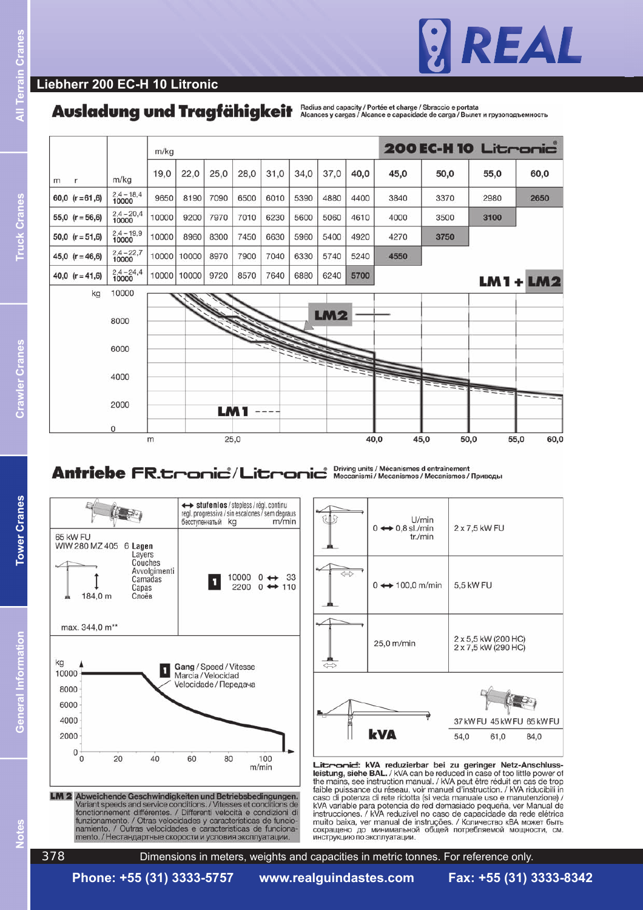

#### **Liebherr 200 EC-H 10 Litronic**

### Ausladung und Tragfähigkeit Alcances y cargas / Alcance e capacity / Portée et charge / Sbraccio e portata



### Antriebe FR.thonic<sup>\*</sup>/Litronic<sup>\*</sup> Neccanismi/Mécanismes d entraînement





Littranid: kVA reduzierbar bei zu geringer Netz-Anschluss-Leistung, siehe BAL. / kVA can be reduced in case of too little power of<br>the mains, see instruction manual. / kVA peut être réduit en cas de trop<br>faible puissance du réseau, voir manuel d'instruction. / kVA riducibili in<br>c kVA variable para potencia de red demasiado pequeña, ver Manual de<br>instrucciones. / kVA reduzível no caso de capacidade da rede elétrica muito baixa, ver manual de instruções. / Количество кВА может быть сокращено до минимальной общей потребляемой мощности, см.<br>инструкцию поэксплуатации.

al Information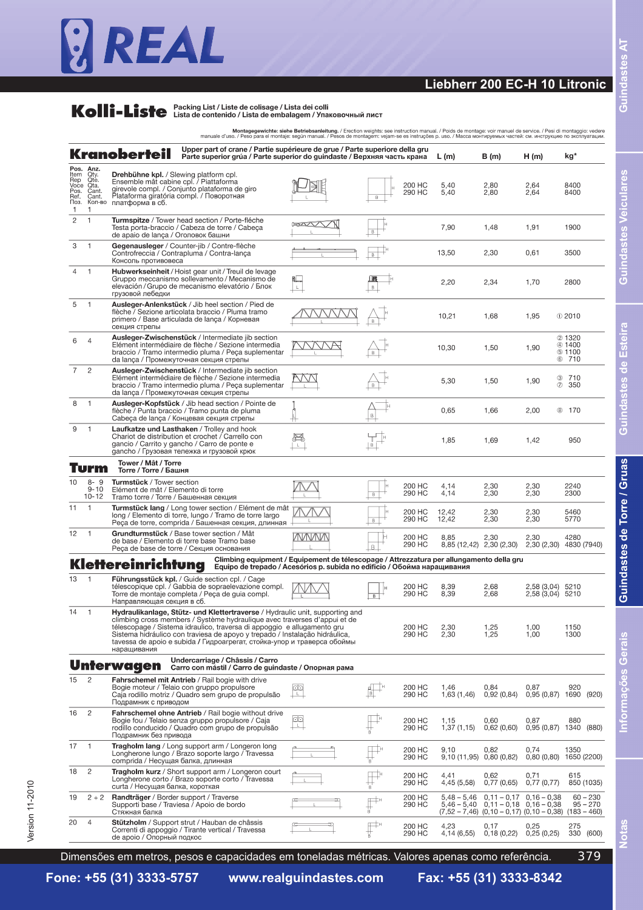# REAL

### **Liebherr 200 EC-H 10 Litronic**

# **Kolli-Liste** Packing List / Liste de colisage / Lista dei colli<br>
Lista de contenido / Lista de embalagem / Упаковочный лист

a comparato .<br>مادا مادا  $\mathcal{L}^{\mathcal{L}}$ and the

|                                                           |                                                                | Upper part of crane / Partie supérieure de grue / Parte superiore della gru<br>Kranoberteil<br>Parte superior grúa / Parte superior do guindaste / Верхняя часть крана                                                                                                                                                                                                                                        |                   |                                      |                  | L(m)                                                                                            | B (m)                                        | H(m)                                 | kg*                                        |                          |
|-----------------------------------------------------------|----------------------------------------------------------------|---------------------------------------------------------------------------------------------------------------------------------------------------------------------------------------------------------------------------------------------------------------------------------------------------------------------------------------------------------------------------------------------------------------|-------------------|--------------------------------------|------------------|-------------------------------------------------------------------------------------------------|----------------------------------------------|--------------------------------------|--------------------------------------------|--------------------------|
| Pos. Anz.<br>Item<br>Pos.<br>Ref.<br>Поз.<br>$\mathbf{1}$ | Qty.<br>Rep Ote.<br>Voce Ota.<br>Cant.<br>Cant.<br>Кол-во<br>1 | <b>Drehbühne kpl.</b> / Slewing platform cpl.<br>Ensemble mât cabine cpl. / Piattaforma<br>girevole compl. / Conjunto plataforma de giro<br>Plataforma giratória compl. / Поворотная<br>платформа в сб.                                                                                                                                                                                                       |                   |                                      | 200 HC<br>290 HC | 5,40<br>5,40                                                                                    | 2,80<br>2,80                                 | 2,64<br>2,64                         | 8400<br>8400                               |                          |
| $\overline{2}$                                            | $\mathbf{1}$                                                   | Turmspitze / Tower head section / Porte-fléche<br>Testa porta-braccio / Cabeza de torre / Cabeça<br>de apaio de lança / Оголовок башни                                                                                                                                                                                                                                                                        |                   | B                                    |                  | 7,90                                                                                            | 1,48                                         | 1,91                                 | 1900                                       |                          |
| 3                                                         | $\mathbf{1}$                                                   | Gegenausleger / Counter-jib / Contre-flèche<br>Controfreccia / Contrapluma / Contra-lança<br>Консоль противовеса                                                                                                                                                                                                                                                                                              |                   | $\overline{B}$                       |                  | 13,50                                                                                           | 2,30                                         | 0.61                                 | 3500                                       |                          |
| $\overline{4}$                                            | $\mathbf{1}$                                                   | Hubwerkseinheit / Hoist gear unit / Treuil de levage<br>Gruppo meccanismo sollevamento / Mecanismo de<br>elevación / Grupo de mecanismo elevatório / Блок<br>грузовой лебедки                                                                                                                                                                                                                                 |                   | $\mathsf B$                          |                  | 2,20                                                                                            | 2,34                                         | 1,70                                 | 2800                                       |                          |
| 5                                                         | $\mathbf{1}$                                                   | Ausleger-Anlenkstück / Jib heel section / Pied de<br>flèche / Sezione articolata braccio / Pluma tramo<br>primero / Base articulada de lança / Корневая<br>секция стрелы                                                                                                                                                                                                                                      |                   |                                      |                  | 10,21                                                                                           | 1,68                                         | 1,95                                 | $@$ 2010                                   |                          |
| 6                                                         | $\overline{4}$                                                 | Ausleger-Zwischenstück / Intermediate jib section<br>Elément intermédiaire de flèche / Sezione intermedia<br>braccio / Tramo intermedio pluma / Peça suplementar<br>da lanca / Промежуточная секция стрелы                                                                                                                                                                                                    |                   |                                      |                  | 10,30                                                                                           | 1,50                                         | 1,90                                 | 2 1320<br>4 1400<br><b>6 1100</b><br>6 710 |                          |
| 7                                                         | $\overline{c}$                                                 | Ausleger-Zwischenstück / Intermediate jib section<br>Elément intermédiaire de flèche / Sezione intermedia<br>braccio / Tramo intermedio pluma / Peça suplementar<br>da lança / Промежуточная секция стрелы                                                                                                                                                                                                    |                   |                                      |                  | 5,30                                                                                            | 1,50                                         | 1,90                                 | ☺<br>710<br>$\circledD$<br>350             |                          |
| 8                                                         | $\mathbf{1}$                                                   | Ausleger-Kopfstück / Jib head section / Pointe de<br>flèche / Punta braccio / Tramo punta de pluma<br>Cabeça de lança / Концевая секция стрелы                                                                                                                                                                                                                                                                |                   | $\mathsf B$                          |                  | 0,65                                                                                            | 1,66                                         | 2,00                                 | <b>8 170</b>                               |                          |
| 9                                                         | $\mathbf{1}$                                                   | Laufkatze und Lasthaken / Trolley and hook<br>Chariot de distribution et crochet / Carrello con<br>gancio / Carrito y gancho / Carro de ponte e<br>gancho / Грузовая тележка и грузовой крюк                                                                                                                                                                                                                  |                   |                                      |                  | 1,85                                                                                            | 1,69                                         | 1,42                                 | 950                                        |                          |
|                                                           | Turm                                                           | Tower / Mât / Torre<br>Torre / Torre / Башня                                                                                                                                                                                                                                                                                                                                                                  |                   |                                      |                  |                                                                                                 |                                              |                                      |                                            |                          |
| 10                                                        | $8 - 9$<br>$9 - 10$<br>$10 - 12$                               | Turmstück / Tower section<br>Elément de mât / Elemento di torre<br>Tramo torre / Torre / Башенная секция                                                                                                                                                                                                                                                                                                      |                   | B                                    | 200 HC<br>290 HC | 4,14<br>4,14                                                                                    | 2,30<br>2,30                                 | 2,30<br>2,30                         | 2240<br>2300                               |                          |
| 11                                                        | $\overline{1}$                                                 | Turmstück lang / Long tower section / Elément de mât<br>long / Elemento di torre, lungo / Tramo de torre largo<br>Реса de torre, comprida / Башенная секция, длинная                                                                                                                                                                                                                                          |                   | B                                    | 200 HC<br>290 HC | 12,42<br>12,42                                                                                  | 2,30<br>2,30                                 | 2,30<br>2,30                         | 5460<br>5770                               |                          |
| 12                                                        | $\overline{1}$                                                 | Grundturmstück / Base tower section / Mât<br>de base / Elemento di torre base Tramo base<br>Реса de base de torre / Секция основания                                                                                                                                                                                                                                                                          | WWW               | $\overline{B}$                       | 200 HC<br>290 HC | 8.85<br>8,85 (12,42) 2,30 (2,30)                                                                | 2,30                                         | 2,30<br>2,30(2,30)                   | 4280<br>4830 (7940)                        |                          |
|                                                           |                                                                | Climbing equipment / Equipement de télescopage / Attrezzatura per allungamento della gru<br>Klettereinrichtung<br>Equipo de trepado / Acesórios p. subida no edificio / Обойма наращивания                                                                                                                                                                                                                    |                   |                                      |                  |                                                                                                 |                                              |                                      |                                            |                          |
| 13                                                        | $\overline{1}$                                                 | Führungsstück kpl. / Guide section cpl. / Cage<br>télescopique cpl. / Gabbia de sopraelevazione compl.<br>Torre de montaje completa / Peca de quia compl.<br>Направляющая секция в сб.                                                                                                                                                                                                                        |                   | B                                    | 200 HC<br>290 HC | 8,39<br>8,39                                                                                    | 2,68<br>2,68                                 | 2,58 (3,04) 5210<br>2,58 (3,04) 5210 |                                            |                          |
| 14                                                        | $\mathbf{1}$                                                   | Hydraulikanlage, Stütz- und Klettertraverse / Hydraulic unit, supporting and<br>climbing cross members / Système hydraulique avec traverses d'appui et de<br>télescopage / Sistema idraulico, traversa di appoggio e allugamento gru<br>Sistema hidráulico con traviesa de apoyo y trepado / Instalação hidráulica,<br>tavessa de apoio e subida / Гидроагрегат, стойка-упор и траверса обоймы<br>наращивания |                   |                                      | 200 HC<br>290 HC | 2,30<br>2,30                                                                                    | 1,25<br>1,25                                 | 1,00<br>1,00                         | 1150<br>1300                               |                          |
|                                                           |                                                                | Undercarriage / Châssis / Carro<br><b>Unterwagen</b><br>Carro con mástil / Carro de guindaste / Опорная рама                                                                                                                                                                                                                                                                                                  |                   |                                      |                  |                                                                                                 |                                              |                                      |                                            |                          |
| 15                                                        | $\mathbf{2}$                                                   | Fahrschemel mit Antrieb / Rail bogie with drive<br>Bogie moteur / Telaio con gruppo propulsore<br>Caja rodillo motriz / Quadro sem grupo de propulsão<br>Подрамник с приводом                                                                                                                                                                                                                                 | Õ٥<br>$\mathsf L$ |                                      | 200 HC<br>290 HC | 1,46<br>1,63 (1,46)                                                                             | 0.84<br>0,92(0,84)                           | 0.87<br>0,95 (0,87) 1690             | 920                                        | (920)                    |
| 16                                                        | $\overline{c}$                                                 | Fahrschemel ohne Antrieb / Rail bogie without drive<br>Bogie fou / Telaio senza gruppo propulsore / Caja<br>rodillo conducido / Quadro com grupo de propulsão<br>Подрамник без привода                                                                                                                                                                                                                        | ಂ<br>$\mathsf{L}$ |                                      | 200 HC<br>290 HC | 1,15<br>1,37(1,15)                                                                              | 0,60<br>0,62(0,60)                           | 0,87<br>0,95 (0,87) 1340             | 880                                        | (880)                    |
| 17                                                        | $\mathbf{1}$                                                   | Tragholm lang / Long support arm / Longeron long<br>Longherone lungo / Brazo soporte largo / Travessa<br>comprida / Несущая балка, длинная                                                                                                                                                                                                                                                                    |                   |                                      | 200 HC<br>290 HC | 9,10<br>9,10 (11,95) 0,80 (0,82)                                                                | 0,82                                         | 0,74<br>0,80(0,80)                   | 1350<br>1650 (2200)                        |                          |
| 18                                                        | $\overline{c}$                                                 | Tragholm kurz / Short support arm / Longeron court<br>Longherone corto / Brazo soporte corto / Travessa<br>curta / Несущая балка, короткая                                                                                                                                                                                                                                                                    |                   | 'n                                   | 200 HC<br>290 HC | 4,41<br>4,45 (5,58)                                                                             | 0,62<br>0,77(0,65)                           | 0,71<br>0,77(0,77)                   | 615                                        | 850 (1035)               |
| 19                                                        | $2 + 2$                                                        | Randträger / Border support / Traverse<br>Supporti base / Traviesa / Apoio de bordo<br>Стяжная балка                                                                                                                                                                                                                                                                                                          |                   | $\overline{\mathbb{F}}^{\mathbb{H}}$ | 200 HC<br>290 HC | $5,48 - 5,46$<br>$5,46 - 5,40$<br>$(7,52 - 7,46)$ $(0,10 - 0,17)$ $(0,10 - 0,38)$ $(183 - 460)$ | $0,11 - 0,17$<br>$0,11 - 0,18$ $0,16 - 0,38$ | $0,16 - 0,38$                        |                                            | $60 - 230$<br>$95 - 270$ |
|                                                           |                                                                | Stützholm / Support strut / Hauban de châssis                                                                                                                                                                                                                                                                                                                                                                 |                   |                                      |                  |                                                                                                 |                                              |                                      |                                            |                          |

**Fone: +55 (31) 3333-5757 www.realguindastes.com Fax: +55 (31) 3333-8342**

Guindastes AT

**Guindastes Veiculares** 

Votas